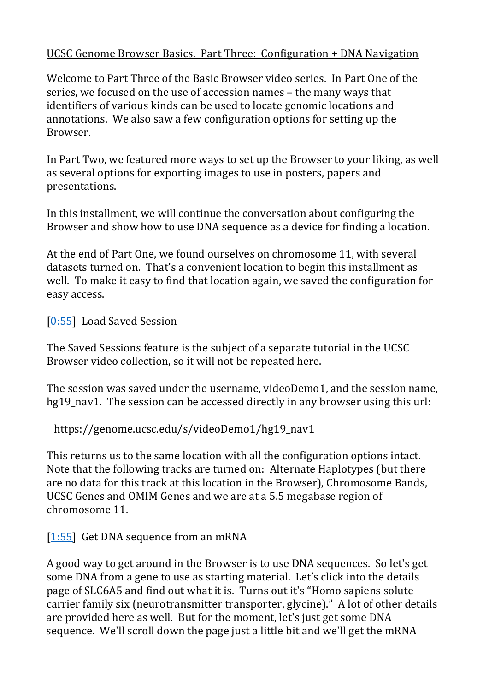#### UCSC Genome Browser Basics. Part Three: Configuration + DNA Navigation

Welcome to Part Three of the Basic Browser video series. In Part One of the series, we focused on the use of accession names – the many ways that identifiers of various kinds can be used to locate genomic locations and annotations. We also saw a few configuration options for setting up the Browser.

In Part Two, we featured more ways to set up the Browser to your liking, as well as several options for exporting images to use in posters, papers and presentations.

In this installment, we will continue the conversation about configuring the Browser and show how to use DNA sequence as a device for finding a location.

At the end of Part One, we found ourselves on chromosome 11, with several datasets turned on. That's a convenient location to begin this installment as well. To make it easy to find that location again, we saved the configuration for easy access.

[\[0:55\]](https://www.youtube.com/watch?v=I25Q136d6NU&feature=youtu.be&list=UUQnUJepyNOw0p8s2otX4RYQ&t=55s) Load Saved Session

The Saved Sessions feature is the subject of a separate tutorial in the UCSC Browser video collection, so it will not be repeated here.

The session was saved under the username, videoDemo1, and the session name, hg19 nav1. The session can be accessed directly in any browser using this url:

https://genome.ucsc.edu/s/videoDemo1/hg19\_nav1

This returns us to the same location with all the configuration options intact. Note that the following tracks are turned on: Alternate Haplotypes (but there are no data for this track at this location in the Browser), Chromosome Bands, UCSC Genes and OMIM Genes and we are at a 5.5 megabase region of chromosome 11.

 $[1:55]$  Get DNA sequence from an mRNA

A good way to get around in the Browser is to use DNA sequences. So let's get some DNA from a gene to use as starting material. Let's click into the details page of SLC6A5 and find out what it is. Turns out it's "Homo sapiens solute carrier family six (neurotransmitter transporter, glycine)." A lot of other details are provided here as well. But for the moment, let's just get some DNA sequence. We'll scroll down the page just a little bit and we'll get the mRNA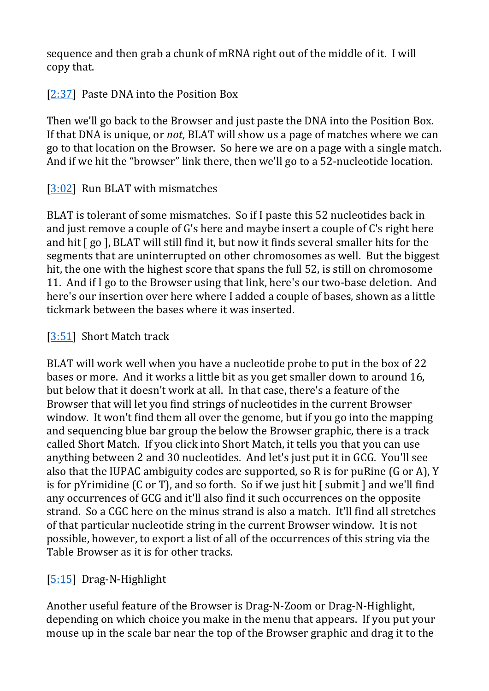sequence and then grab a chunk of mRNA right out of the middle of it. I will copy that.

[\[2:37\]](https://www.youtube.com/watch?v=I25Q136d6NU&feature=youtu.be&list=UUQnUJepyNOw0p8s2otX4RYQ&t=157s) Paste DNA into the Position Box

Then we'll go back to the Browser and just paste the DNA into the Position Box. If that DNA is unique, or *not*, BLAT will show us a page of matches where we can go to that location on the Browser. So here we are on a page with a single match. And if we hit the "browser" link there, then we'll go to a 52-nucleotide location.

## [\[3:02\]](https://www.youtube.com/watch?v=I25Q136d6NU&feature=youtu.be&list=UUQnUJepyNOw0p8s2otX4RYQ&t=182s) Run BLAT with mismatches

BLAT is tolerant of some mismatches. So if I paste this 52 nucleotides back in and just remove a couple of G's here and maybe insert a couple of C's right here and hit [ go ], BLAT will still find it, but now it finds several smaller hits for the segments that are uninterrupted on other chromosomes as well. But the biggest hit, the one with the highest score that spans the full 52, is still on chromosome 11. And if I go to the Browser using that link, here's our two-base deletion. And here's our insertion over here where I added a couple of bases, shown as a little tickmark between the bases where it was inserted.

## [\[3:51\]](https://www.youtube.com/watch?v=I25Q136d6NU&feature=youtu.be&list=UUQnUJepyNOw0p8s2otX4RYQ&t=231s) Short Match track

BLAT will work well when you have a nucleotide probe to put in the box of 22 bases or more. And it works a little bit as you get smaller down to around 16, but below that it doesn't work at all. In that case, there's a feature of the Browser that will let you find strings of nucleotides in the current Browser window. It won't find them all over the genome, but if you go into the mapping and sequencing blue bar group the below the Browser graphic, there is a track called Short Match. If you click into Short Match, it tells you that you can use anything between 2 and 30 nucleotides. And let's just put it in GCG. You'll see also that the IUPAC ambiguity codes are supported, so R is for puRine (G or A), Y is for pYrimidine (C or T), and so forth. So if we just hit [ submit ] and we'll find any occurrences of GCG and it'll also find it such occurrences on the opposite strand. So a CGC here on the minus strand is also a match. It'll find all stretches of that particular nucleotide string in the current Browser window. It is not possible, however, to export a list of all of the occurrences of this string via the Table Browser as it is for other tracks.

# [\[5:15\]](https://www.youtube.com/watch?v=I25Q136d6NU&feature=youtu.be&list=UUQnUJepyNOw0p8s2otX4RYQ&t=315s) Drag-N-Highlight

Another useful feature of the Browser is Drag-N-Zoom or Drag-N-Highlight, depending on which choice you make in the menu that appears. If you put your mouse up in the scale bar near the top of the Browser graphic and drag it to the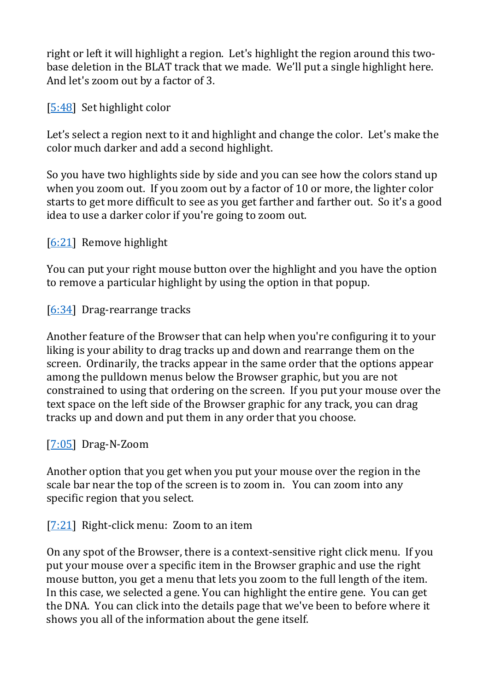right or left it will highlight a region. Let's highlight the region around this twobase deletion in the BLAT track that we made. We'll put a single highlight here. And let's zoom out by a factor of 3.

[\[5:48\]](https://www.youtube.com/watch?v=I25Q136d6NU&feature=youtu.be&list=UUQnUJepyNOw0p8s2otX4RYQ&t=348s) Set highlight color

Let's select a region next to it and highlight and change the color. Let's make the color much darker and add a second highlight.

So you have two highlights side by side and you can see how the colors stand up when you zoom out. If you zoom out by a factor of 10 or more, the lighter color starts to get more difficult to see as you get farther and farther out. So it's a good idea to use a darker color if you're going to zoom out.

[\[6:21\]](https://www.youtube.com/watch?v=I25Q136d6NU&feature=youtu.be&list=UUQnUJepyNOw0p8s2otX4RYQ&t=381s) Remove highlight

You can put your right mouse button over the highlight and you have the option to remove a particular highlight by using the option in that popup.

[\[6:34\]](https://www.youtube.com/watch?v=I25Q136d6NU&feature=youtu.be&list=UUQnUJepyNOw0p8s2otX4RYQ&t=394s) Drag-rearrange tracks

Another feature of the Browser that can help when you're configuring it to your liking is your ability to drag tracks up and down and rearrange them on the screen. Ordinarily, the tracks appear in the same order that the options appear among the pulldown menus below the Browser graphic, but you are not constrained to using that ordering on the screen. If you put your mouse over the text space on the left side of the Browser graphic for any track, you can drag tracks up and down and put them in any order that you choose.

### [\[7:05\]](https://www.youtube.com/watch?v=I25Q136d6NU&feature=youtu.be&list=UUQnUJepyNOw0p8s2otX4RYQ&t=425s) Drag-N-Zoom

Another option that you get when you put your mouse over the region in the scale bar near the top of the screen is to zoom in. You can zoom into any specific region that you select.

[\[7:21\]](https://www.youtube.com/watch?v=I25Q136d6NU&feature=youtu.be&list=UUQnUJepyNOw0p8s2otX4RYQ&t=441s) Right-click menu: Zoom to an item

On any spot of the Browser, there is a context-sensitive right click menu. If you put your mouse over a specific item in the Browser graphic and use the right mouse button, you get a menu that lets you zoom to the full length of the item. In this case, we selected a gene. You can highlight the entire gene. You can get the DNA. You can click into the details page that we've been to before where it shows you all of the information about the gene itself.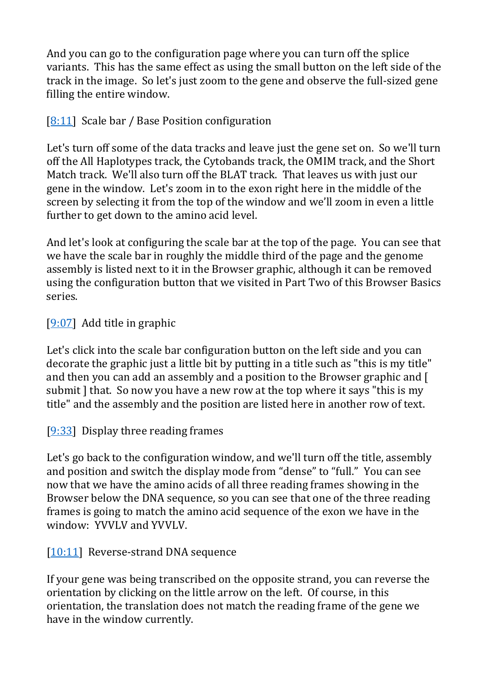And you can go to the configuration page where you can turn off the splice variants. This has the same effect as using the small button on the left side of the track in the image. So let's just zoom to the gene and observe the full-sized gene filling the entire window.

## [\[8:11\]](https://www.youtube.com/watch?v=I25Q136d6NU&feature=youtu.be&list=UUQnUJepyNOw0p8s2otX4RYQ&t=491s) Scale bar / Base Position configuration

Let's turn off some of the data tracks and leave just the gene set on. So we'll turn off the All Haplotypes track, the Cytobands track, the OMIM track, and the Short Match track. We'll also turn off the BLAT track. That leaves us with just our gene in the window. Let's zoom in to the exon right here in the middle of the screen by selecting it from the top of the window and we'll zoom in even a little further to get down to the amino acid level.

And let's look at configuring the scale bar at the top of the page. You can see that we have the scale bar in roughly the middle third of the page and the genome assembly is listed next to it in the Browser graphic, although it can be removed using the configuration button that we visited in Part Two of this Browser Basics series.

### [\[9:07\]](https://www.youtube.com/watch?v=I25Q136d6NU&feature=youtu.be&list=UUQnUJepyNOw0p8s2otX4RYQ&t=547s) Add title in graphic

Let's click into the scale bar configuration button on the left side and you can decorate the graphic just a little bit by putting in a title such as "this is my title" and then you can add an assembly and a position to the Browser graphic and [ submit ] that. So now you have a new row at the top where it says "this is my title" and the assembly and the position are listed here in another row of text.

### [\[9:33\]](https://www.youtube.com/watch?v=I25Q136d6NU&feature=youtu.be&list=UUQnUJepyNOw0p8s2otX4RYQ&t=573s) Display three reading frames

Let's go back to the configuration window, and we'll turn off the title, assembly and position and switch the display mode from "dense" to "full." You can see now that we have the amino acids of all three reading frames showing in the Browser below the DNA sequence, so you can see that one of the three reading frames is going to match the amino acid sequence of the exon we have in the window: YVVLV and YVVLV.

### [\[10:11\]](https://www.youtube.com/watch?v=I25Q136d6NU&feature=youtu.be&list=UUQnUJepyNOw0p8s2otX4RYQ&t=611s) Reverse-strand DNA sequence

If your gene was being transcribed on the opposite strand, you can reverse the orientation by clicking on the little arrow on the left. Of course, in this orientation, the translation does not match the reading frame of the gene we have in the window currently.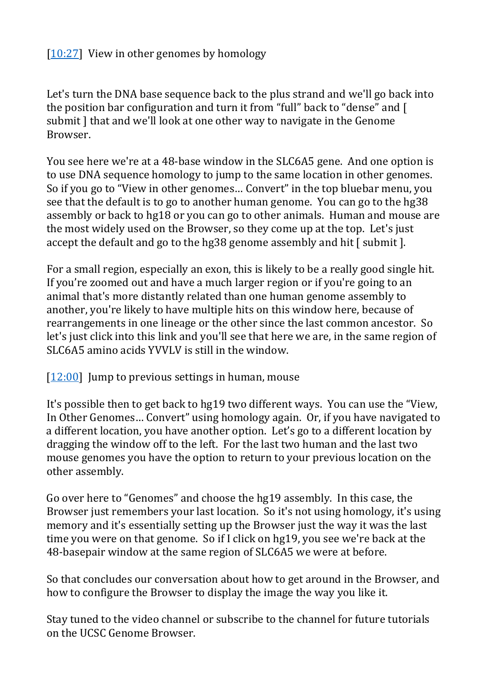### [\[10:27\]](https://www.youtube.com/watch?v=I25Q136d6NU&feature=youtu.be&list=UUQnUJepyNOw0p8s2otX4RYQ&t=627s) View in other genomes by homology

Let's turn the DNA base sequence back to the plus strand and we'll go back into the position bar configuration and turn it from "full" back to "dense" and [ submit ] that and we'll look at one other way to navigate in the Genome Browser.

You see here we're at a 48-base window in the SLC6A5 gene. And one option is to use DNA sequence homology to jump to the same location in other genomes. So if you go to "View in other genomes… Convert" in the top bluebar menu, you see that the default is to go to another human genome. You can go to the hg38 assembly or back to hg18 or you can go to other animals. Human and mouse are the most widely used on the Browser, so they come up at the top. Let's just accept the default and go to the hg38 genome assembly and hit [ submit].

For a small region, especially an exon, this is likely to be a really good single hit. If you're zoomed out and have a much larger region or if you're going to an animal that's more distantly related than one human genome assembly to another, you're likely to have multiple hits on this window here, because of rearrangements in one lineage or the other since the last common ancestor. So let's just click into this link and you'll see that here we are, in the same region of SLC6A5 amino acids YVVLV is still in the window.

 $[12:00]$  Jump to previous settings in human, mouse

It's possible then to get back to hg19 two different ways. You can use the "View, In Other Genomes… Convert" using homology again. Or, if you have navigated to a different location, you have another option. Let's go to a different location by dragging the window off to the left. For the last two human and the last two mouse genomes you have the option to return to your previous location on the other assembly.

Go over here to "Genomes" and choose the hg19 assembly. In this case, the Browser just remembers your last location. So it's not using homology, it's using memory and it's essentially setting up the Browser just the way it was the last time you were on that genome. So if I click on hg19, you see we're back at the 48-basepair window at the same region of SLC6A5 we were at before.

So that concludes our conversation about how to get around in the Browser, and how to configure the Browser to display the image the way you like it.

Stay tuned to the video channel or subscribe to the channel for future tutorials on the UCSC Genome Browser.